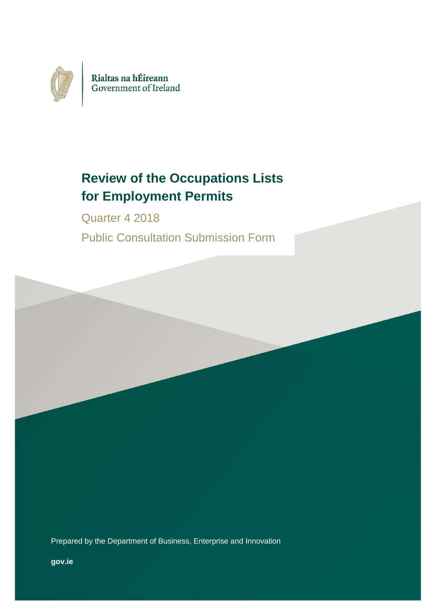

# **Review of the Occupations Lists for Employment Permits**

Quarter 4 2018 Public Consultation Submission Form

Prepared by the Department of Business, Enterprise and Innovation

**gov.ie**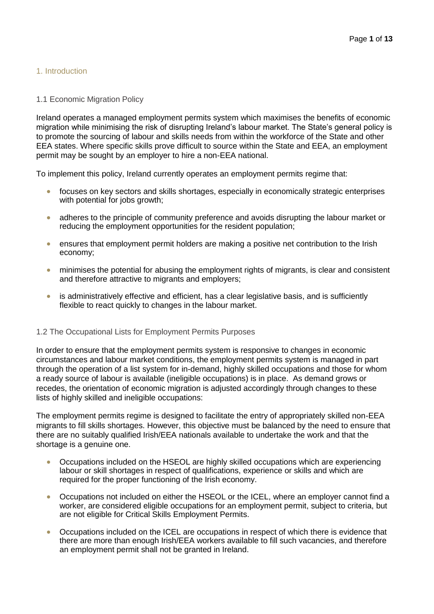# 1. Introduction

## 1.1 Economic Migration Policy

Ireland operates a managed employment permits system which maximises the benefits of economic migration while minimising the risk of disrupting Ireland's labour market. The State's general policy is to promote the sourcing of labour and skills needs from within the workforce of the State and other EEA states. Where specific skills prove difficult to source within the State and EEA, an employment permit may be sought by an employer to hire a non-EEA national.

To implement this policy, Ireland currently operates an employment permits regime that:

- focuses on key sectors and skills shortages, especially in economically strategic enterprises with potential for jobs growth;
- adheres to the principle of community preference and avoids disrupting the labour market or reducing the employment opportunities for the resident population;
- ensures that employment permit holders are making a positive net contribution to the Irish economy;
- minimises the potential for abusing the employment rights of migrants, is clear and consistent and therefore attractive to migrants and employers;
- is administratively effective and efficient, has a clear legislative basis, and is sufficiently flexible to react quickly to changes in the labour market.

# 1.2 The Occupational Lists for Employment Permits Purposes

In order to ensure that the employment permits system is responsive to changes in economic circumstances and labour market conditions, the employment permits system is managed in part through the operation of a list system for in-demand, highly skilled occupations and those for whom a ready source of labour is available (ineligible occupations) is in place. As demand grows or recedes, the orientation of economic migration is adjusted accordingly through changes to these lists of highly skilled and ineligible occupations:

The employment permits regime is designed to facilitate the entry of appropriately skilled non-EEA migrants to fill skills shortages. However, this objective must be balanced by the need to ensure that there are no suitably qualified Irish/EEA nationals available to undertake the work and that the shortage is a genuine one.

- Occupations included on the HSEOL are highly skilled occupations which are experiencing labour or skill shortages in respect of qualifications, experience or skills and which are required for the proper functioning of the Irish economy.
- Occupations not included on either the HSEOL or the ICEL, where an employer cannot find a worker, are considered eligible occupations for an employment permit, subject to criteria, but are not eligible for Critical Skills Employment Permits.
- Occupations included on the ICEL are occupations in respect of which there is evidence that there are more than enough Irish/EEA workers available to fill such vacancies, and therefore an employment permit shall not be granted in Ireland.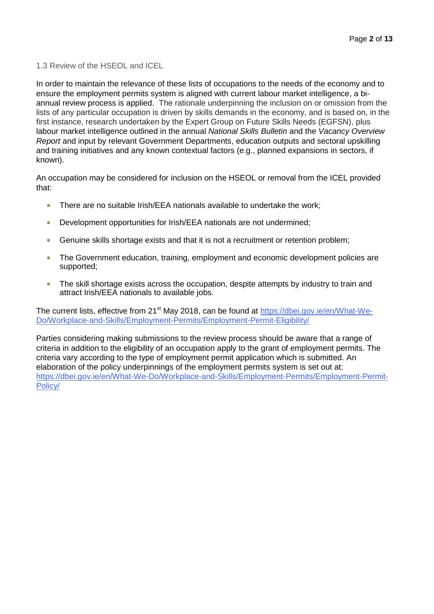1.3 Review of the HSEOL and ICEL

In order to maintain the relevance of these lists of occupations to the needs of the economy and to ensure the employment permits system is aligned with current labour market intelligence, a biannual review process is applied. The rationale underpinning the inclusion on or omission from the lists of any particular occupation is driven by skills demands in the economy, and is based on, in the first instance, research undertaken by the Expert Group on Future Skills Needs (EGFSN), plus labour market intelligence outlined in the annual *National Skills Bulletin* and the *Vacancy Overview Report* and input by relevant Government Departments, education outputs and sectoral upskilling and training initiatives and any known contextual factors (e.g., planned expansions in sectors, if known).

An occupation may be considered for inclusion on the HSEOL or removal from the ICEL provided that:

- There are no suitable Irish/EEA nationals available to undertake the work;
- Development opportunities for Irish/EEA nationals are not undermined;
- Genuine skills shortage exists and that it is not a recruitment or retention problem;
- The Government education, training, employment and economic development policies are supported;
- The skill shortage exists across the occupation, despite attempts by industry to train and attract Irish/EEA nationals to available jobs.

The current lists, effective from 21<sup>st</sup> May 2018, can be found at [https://dbei.gov.ie/en/What-We-](https://dbei.gov.ie/en/What-We-Do/Workplace-and-Skills/Employment-Permits/Employment-Permit-Eligibility/)[Do/Workplace-and-Skills/Employment-Permits/Employment-Permit-Eligibility/](https://dbei.gov.ie/en/What-We-Do/Workplace-and-Skills/Employment-Permits/Employment-Permit-Eligibility/)

Parties considering making submissions to the review process should be aware that a range of criteria in addition to the eligibility of an occupation apply to the grant of employment permits. The criteria vary according to the type of employment permit application which is submitted. An elaboration of the policy underpinnings of the employment permits system is set out at: [https://dbei.gov.ie/en/What-We-Do/Workplace-and-Skills/Employment-Permits/Employment-Permit-](https://dbei.gov.ie/en/What-We-Do/Workplace-and-Skills/Employment-Permits/Employment-Permit-Policy/)[Policy/](https://dbei.gov.ie/en/What-We-Do/Workplace-and-Skills/Employment-Permits/Employment-Permit-Policy/)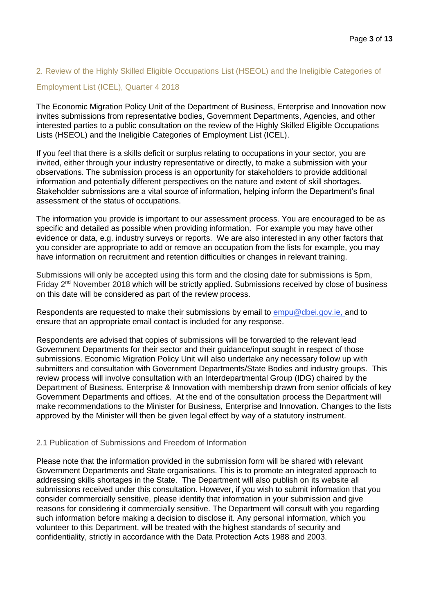# 2. Review of the Highly Skilled Eligible Occupations List (HSEOL) and the Ineligible Categories of

# Employment List (ICEL), Quarter 4 2018

The Economic Migration Policy Unit of the Department of Business, Enterprise and Innovation now invites submissions from representative bodies, Government Departments, Agencies, and other interested parties to a public consultation on the review of the Highly Skilled Eligible Occupations Lists (HSEOL) and the Ineligible Categories of Employment List (ICEL).

If you feel that there is a skills deficit or surplus relating to occupations in your sector, you are invited, either through your industry representative or directly, to make a submission with your observations. The submission process is an opportunity for stakeholders to provide additional information and potentially different perspectives on the nature and extent of skill shortages. Stakeholder submissions are a vital source of information, helping inform the Department's final assessment of the status of occupations.

The information you provide is important to our assessment process. You are encouraged to be as specific and detailed as possible when providing information. For example you may have other evidence or data, e.g. industry surveys or reports. We are also interested in any other factors that you consider are appropriate to add or remove an occupation from the lists for example, you may have information on recruitment and retention difficulties or changes in relevant training.

Submissions will only be accepted using this form and the closing date for submissions is 5pm, Friday 2<sup>nd</sup> November 2018 which will be strictly applied. Submissions received by close of business on this date will be considered as part of the review process.

Respondents are requested to make their submissions by email to [empu@dbei.gov.ie,](mailto:empu@dbei.gov.ie) and to ensure that an appropriate email contact is included for any response.

Respondents are advised that copies of submissions will be forwarded to the relevant lead Government Departments for their sector and their guidance/input sought in respect of those submissions. Economic Migration Policy Unit will also undertake any necessary follow up with submitters and consultation with Government Departments/State Bodies and industry groups. This review process will involve consultation with an Interdepartmental Group (IDG) chaired by the Department of Business, Enterprise & Innovation with membership drawn from senior officials of key Government Departments and offices. At the end of the consultation process the Department will make recommendations to the Minister for Business, Enterprise and Innovation. Changes to the lists approved by the Minister will then be given legal effect by way of a statutory instrument.

## 2.1 Publication of Submissions and Freedom of Information

Please note that the information provided in the submission form will be shared with relevant Government Departments and State organisations. This is to promote an integrated approach to addressing skills shortages in the State. The Department will also publish on its website all submissions received under this consultation. However, if you wish to submit information that you consider commercially sensitive, please identify that information in your submission and give reasons for considering it commercially sensitive. The Department will consult with you regarding such information before making a decision to disclose it. Any personal information, which you volunteer to this Department, will be treated with the highest standards of security and confidentiality, strictly in accordance with the Data Protection Acts 1988 and 2003.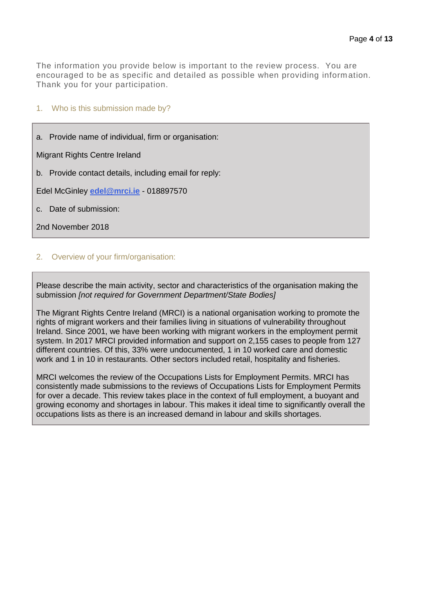The information you provide below is important to the review process. You are encouraged to be as specific and detailed as possible when providing information. Thank you for your participation.

## 1. Who is this submission made by?

a. Provide name of individual, firm or organisation:

Migrant Rights Centre Ireland

b. Provide contact details, including email for reply:

Edel McGinley **[edel@mrci.ie](mailto:edel@mrci.ie)** - 018897570

c. Date of submission:

2nd November 2018

## 2. Overview of your firm/organisation:

Please describe the main activity, sector and characteristics of the organisation making the submission *[not required for Government Department/State Bodies]*

The Migrant Rights Centre Ireland (MRCI) is a national organisation working to promote the rights of migrant workers and their families living in situations of vulnerability throughout Ireland. Since 2001, we have been working with migrant workers in the employment permit system. In 2017 MRCI provided information and support on 2,155 cases to people from 127 different countries. Of this, 33% were undocumented, 1 in 10 worked care and domestic work and 1 in 10 in restaurants. Other sectors included retail, hospitality and fisheries.

MRCI welcomes the review of the Occupations Lists for Employment Permits. MRCI has consistently made submissions to the reviews of Occupations Lists for Employment Permits for over a decade. This review takes place in the context of full employment, a buoyant and growing economy and shortages in labour. This makes it ideal time to significantly overall the occupations lists as there is an increased demand in labour and skills shortages.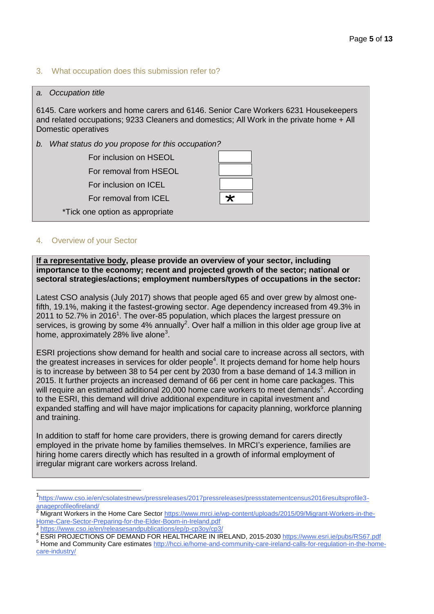## 3. What occupation does this submission refer to?

#### *a. Occupation title*

6145. Care workers and home carers and 6146. Senior Care Workers 6231 Housekeepers and related occupations; 9233 Cleaners and domestics; All Work in the private home + All Domestic operatives

*b. What status do you propose for this occupation?*

For inclusion on HSEOL For removal from HSEOL

For inclusion on ICEL

For removal from ICEL

\*Tick one option as appropriate



#### 4. Overview of your Sector

 $\overline{a}$ 

**If a representative body, please provide an overview of your sector, including importance to the economy; recent and projected growth of the sector; national or sectoral strategies/actions; employment numbers/types of occupations in the sector:**

Latest CSO analysis (July 2017) shows that people aged 65 and over grew by almost onefifth, 19.1%, making it the fastest-growing sector. Age dependency increased from 49.3% in 2011 to 52.7% in 2016<sup>1</sup>. The over-85 population, which places the largest pressure on services, is growing by some 4% annually<sup>2</sup>. Over half a million in this older age group live at home, approximately 28% live alone<sup>3</sup>.

ESRI projections show demand for health and social care to increase across all sectors, with the greatest increases in services for older people<sup>4</sup>. It projects demand for home help hours is to increase by between 38 to 54 per cent by 2030 from a base demand of 14.3 million in 2015. It further projects an increased demand of 66 per cent in home care packages. This will require an estimated additional 20,000 home care workers to meet demands<sup>5</sup>. According to the ESRI, this demand will drive additional expenditure in capital investment and expanded staffing and will have major implications for capacity planning, workforce planning and training.

In addition to staff for home care providers, there is growing demand for carers directly employed in the private home by families themselves. In MRCI's experience, families are hiring home carers directly which has resulted in a growth of informal employment of irregular migrant care workers across Ireland.

<https://www.cso.ie/en/releasesandpublications/ep/p-cp3oy/cp3/>

<sup>5</sup> Home and Community Care estimate[s http://hcci.ie/home-and-community-care-ireland-calls-for-regulation-in-the-home](http://hcci.ie/home-and-community-care-ireland-calls-for-regulation-in-the-home-care-industry/)[care-industry/](http://hcci.ie/home-and-community-care-ireland-calls-for-regulation-in-the-home-care-industry/)

<sup>1</sup> [https://www.cso.ie/en/csolatestnews/pressreleases/2017pressreleases/pressstatementcensus2016resultsprofile3](https://www.cso.ie/en/csolatestnews/pressreleases/2017pressreleases/pressstatementcensus2016resultsprofile3-anageprofileofireland/) [anageprofileofireland/](https://www.cso.ie/en/csolatestnews/pressreleases/2017pressreleases/pressstatementcensus2016resultsprofile3-anageprofileofireland/)

<sup>2</sup> Migrant Workers in the Home Care Secto[r https://www.mrci.ie/wp-content/uploads/2015/09/Migrant-Workers-in-the-](https://www.mrci.ie/wp-content/uploads/2015/09/Migrant-Workers-in-the-Home-Care-Sector-Preparing-for-the-Elder-Boom-in-Ireland.pdf)[Home-Care-Sector-Preparing-for-the-Elder-Boom-in-Ireland.pdf](https://www.mrci.ie/wp-content/uploads/2015/09/Migrant-Workers-in-the-Home-Care-Sector-Preparing-for-the-Elder-Boom-in-Ireland.pdf) 3

<sup>4</sup> ESRI PROJECTIONS OF DEMAND FOR HEALTHCARE IN IRELAND, 2015-203[0 https://www.esri.ie/pubs/RS67.pdf](https://www.esri.ie/pubs/RS67.pdf)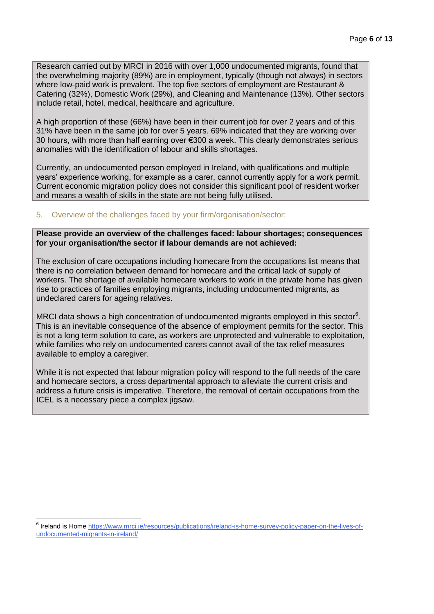Research carried out by MRCI in 2016 with over 1,000 undocumented migrants, found that the overwhelming majority (89%) are in employment, typically (though not always) in sectors where low-paid work is prevalent. The top five sectors of employment are Restaurant & Catering (32%), Domestic Work (29%), and Cleaning and Maintenance (13%). Other sectors include retail, hotel, medical, healthcare and agriculture.

A high proportion of these (66%) have been in their current job for over 2 years and of this 31% have been in the same job for over 5 years. 69% indicated that they are working over 30 hours, with more than half earning over €300 a week. This clearly demonstrates serious anomalies with the identification of labour and skills shortages.

Currently, an undocumented person employed in Ireland, with qualifications and multiple years' experience working, for example as a carer, cannot currently apply for a work permit. Current economic migration policy does not consider this significant pool of resident worker and means a wealth of skills in the state are not being fully utilised.

# 5. Overview of the challenges faced by your firm/organisation/sector:

## **Please provide an overview of the challenges faced: labour shortages; consequences for your organisation/the sector if labour demands are not achieved:**

The exclusion of care occupations including homecare from the occupations list means that there is no correlation between demand for homecare and the critical lack of supply of workers. The shortage of available homecare workers to work in the private home has given rise to practices of families employing migrants, including undocumented migrants, as undeclared carers for ageing relatives.

MRCI data shows a high concentration of undocumented migrants employed in this sector $6$ . This is an inevitable consequence of the absence of employment permits for the sector. This is not a long term solution to care, as workers are unprotected and vulnerable to exploitation, while families who rely on undocumented carers cannot avail of the tax relief measures available to employ a caregiver.

While it is not expected that labour migration policy will respond to the full needs of the care and homecare sectors, a cross departmental approach to alleviate the current crisis and address a future crisis is imperative. Therefore, the removal of certain occupations from the ICEL is a necessary piece a complex jigsaw.

 $\overline{a}$ <sup>6</sup> Ireland is Home [https://www.mrci.ie/resources/publications/ireland-is-home-survey-policy-paper-on-the-lives-of](https://www.mrci.ie/resources/publications/ireland-is-home-survey-policy-paper-on-the-lives-of-undocumented-migrants-in-ireland/)[undocumented-migrants-in-ireland/](https://www.mrci.ie/resources/publications/ireland-is-home-survey-policy-paper-on-the-lives-of-undocumented-migrants-in-ireland/)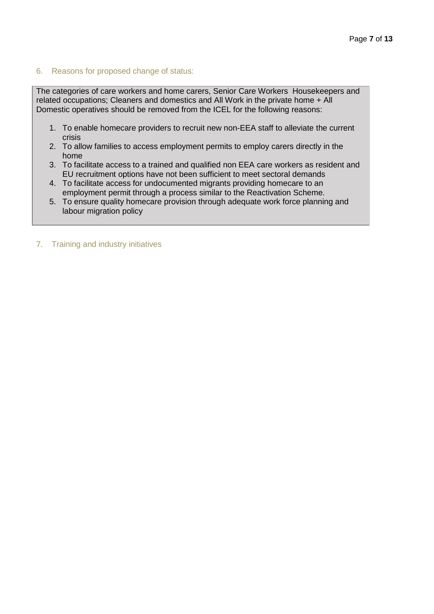# 6. Reasons for proposed change of status:

The categories of care workers and home carers, Senior Care Workers Housekeepers and related occupations; Cleaners and domestics and All Work in the private home + All Domestic operatives should be removed from the ICEL for the following reasons:

- 1. To enable homecare providers to recruit new non-EEA staff to alleviate the current crisis
- 2. To allow families to access employment permits to employ carers directly in the home
- 3. To facilitate access to a trained and qualified non EEA care workers as resident and EU recruitment options have not been sufficient to meet sectoral demands
- 4. To facilitate access for undocumented migrants providing homecare to an employment permit through a process similar to the Reactivation Scheme.
- 5. To ensure quality homecare provision through adequate work force planning and labour migration policy

#### 7. Training and industry initiatives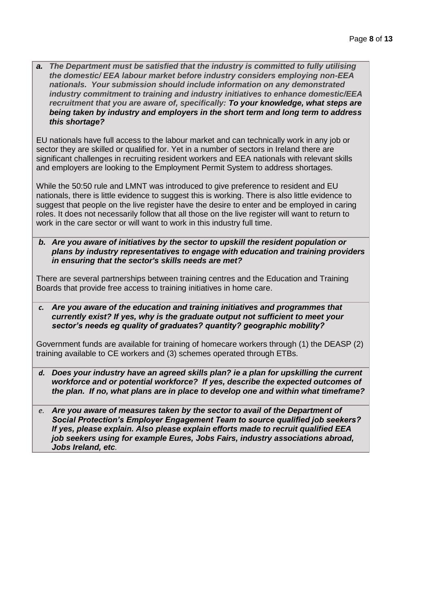*a. The Department must be satisfied that the industry is committed to fully utilising the domestic/ EEA labour market before industry considers employing non-EEA nationals. Your submission should include information on any demonstrated industry commitment to training and industry initiatives to enhance domestic/EEA recruitment that you are aware of, specifically: To your knowledge, what steps are being taken by industry and employers in the short term and long term to address this shortage?* 

EU nationals have full access to the labour market and can technically work in any job or sector they are skilled or qualified for. Yet in a number of sectors in Ireland there are significant challenges in recruiting resident workers and EEA nationals with relevant skills and employers are looking to the Employment Permit System to address shortages.

While the 50:50 rule and LMNT was introduced to give preference to resident and EU nationals, there is little evidence to suggest this is working. There is also little evidence to suggest that people on the live register have the desire to enter and be employed in caring roles. It does not necessarily follow that all those on the live register will want to return to work in the care sector or will want to work in this industry full time.

*b. Are you aware of initiatives by the sector to upskill the resident population or plans by industry representatives to engage with education and training providers in ensuring that the sector's skills needs are met?*

There are several partnerships between training centres and the Education and Training Boards that provide free access to training initiatives in home care.

*c. Are you aware of the education and training initiatives and programmes that currently exist? If yes, why is the graduate output not sufficient to meet your sector's needs eg quality of graduates? quantity? geographic mobility?*

Government funds are available for training of homecare workers through (1) the DEASP (2) training available to CE workers and (3) schemes operated through ETBs.

*d. Does your industry have an agreed skills plan? ie a plan for upskilling the current workforce and or potential workforce? If yes, describe the expected outcomes of the plan. If no, what plans are in place to develop one and within what timeframe?*

*e. Are you aware of measures taken by the sector to avail of the Department of Social Protection's Employer Engagement Team to source qualified job seekers? If yes, please explain. Also please explain efforts made to recruit qualified EEA job seekers using for example Eures, Jobs Fairs, industry associations abroad, Jobs Ireland, etc.*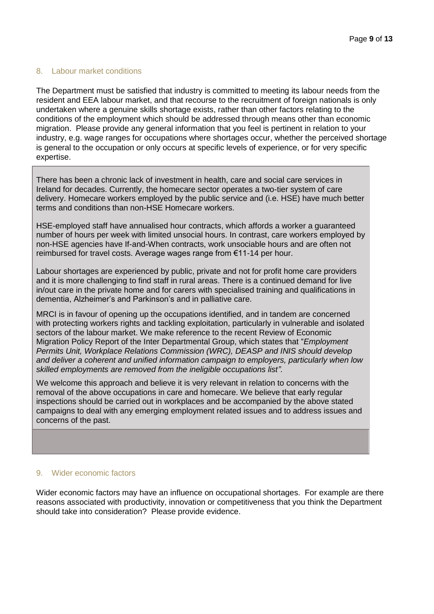### 8. Labour market conditions

The Department must be satisfied that industry is committed to meeting its labour needs from the resident and EEA labour market, and that recourse to the recruitment of foreign nationals is only undertaken where a genuine skills shortage exists, rather than other factors relating to the conditions of the employment which should be addressed through means other than economic migration. Please provide any general information that you feel is pertinent in relation to your industry, e.g. wage ranges for occupations where shortages occur, whether the perceived shortage is general to the occupation or only occurs at specific levels of experience, or for very specific expertise.

There has been a chronic lack of investment in health, care and social care services in Ireland for decades. Currently, the homecare sector operates a two-tier system of care delivery. Homecare workers employed by the public service and (i.e. HSE) have much better terms and conditions than non-HSE Homecare workers.

HSE-employed staff have annualised hour contracts, which affords a worker a guaranteed number of hours per week with limited unsocial hours. In contrast, care workers employed by non-HSE agencies have If-and-When contracts, work unsociable hours and are often not reimbursed for travel costs. Average wages range from €11-14 per hour.

Labour shortages are experienced by public, private and not for profit home care providers and it is more challenging to find staff in rural areas. There is a continued demand for live in/out care in the private home and for carers with specialised training and qualifications in dementia, Alzheimer's and Parkinson's and in palliative care.

MRCI is in favour of opening up the occupations identified, and in tandem are concerned with protecting workers rights and tackling exploitation, particularly in vulnerable and isolated sectors of the labour market. We make reference to the recent Review of Economic Migration Policy Report of the Inter Departmental Group, which states that "*Employment Permits Unit, Workplace Relations Commission (WRC), DEASP and INIS should develop and deliver a coherent and unified information campaign to employers, particularly when low skilled employments are removed from the ineligible occupations list"*.

We welcome this approach and believe it is very relevant in relation to concerns with the removal of the above occupations in care and homecare. We believe that early regular inspections should be carried out in workplaces and be accompanied by the above stated campaigns to deal with any emerging employment related issues and to address issues and concerns of the past.

#### 9. Wider economic factors

Wider economic factors may have an influence on occupational shortages. For example are there reasons associated with productivity, innovation or competitiveness that you think the Department should take into consideration? Please provide evidence.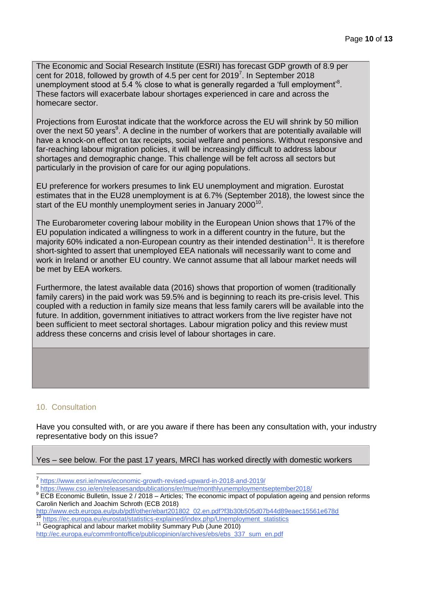The Economic and Social Research Institute (ESRI) has forecast GDP growth of 8.9 per cent for 2018, followed by growth of 4.5 per cent for 2019<sup>7</sup>. In September 2018 unemployment stood at 5.4 % close to what is generally regarded a 'full employment'<sup>8</sup>. These factors will exacerbate labour shortages experienced in care and across the homecare sector.

Projections from Eurostat indicate that the workforce across the EU will shrink by 50 million over the next 50 years<sup>9</sup>. A decline in the number of workers that are potentially available will have a knock-on effect on tax receipts, social welfare and pensions. Without responsive and far-reaching labour migration policies, it will be increasingly difficult to address labour shortages and demographic change. This challenge will be felt across all sectors but particularly in the provision of care for our aging populations.

EU preference for workers presumes to link EU unemployment and migration. Eurostat estimates that in the EU28 unemployment is at 6.7% (September 2018), the lowest since the start of the EU monthly unemployment series in January 2000 $^{10}$ .

The Eurobarometer covering labour mobility in the European Union shows that 17% of the EU population indicated a willingness to work in a different country in the future, but the majority 60% indicated a non-European country as their intended destination<sup>11</sup>. It is therefore short-sighted to assert that unemployed EEA nationals will necessarily want to come and work in Ireland or another EU country. We cannot assume that all labour market needs will be met by EEA workers.

Furthermore, the latest available data (2016) shows that proportion of women (traditionally family carers) in the paid work was 59.5% and is beginning to reach its pre-crisis level. This coupled with a reduction in family size means that less family carers will be available into the future. In addition, government initiatives to attract workers from the live register have not been sufficient to meet sectoral shortages. Labour migration policy and this review must address these concerns and crisis level of labour shortages in care.

# 10. Consultation

 $\overline{a}$ 

Have you consulted with, or are you aware if there has been any consultation with, your industry representative body on this issue?

Yes – see below. For the past 17 years, MRCI has worked directly with domestic workers

<sup>9</sup> ECB Economic Bulletin, Issue 2 / 2018 – Articles; The economic impact of population ageing and pension reforms Carolin Nerlich and Joachim Schroth (ECB 2018)

<sup>11</sup> Geographical and labour market mobility Summary Pub (June 2010)

<sup>&</sup>lt;sup>7</sup> <https://www.esri.ie/news/economic-growth-revised-upward-in-2018-and-2019/>

<sup>&</sup>lt;sup>8</sup> <https://www.cso.ie/en/releasesandpublications/er/mue/monthlyunemploymentseptember2018/>

[http://www.ecb.europa.eu/pub/pdf/other/ebart201802\\_02.en.pdf?f3b30b505d07b44d89eaec15561e678d](http://www.ecb.europa.eu/pub/pdf/other/ebart201802_02.en.pdf?f3b30b505d07b44d89eaec15561e678d) <sup>10</sup> [https://ec.europa.eu/eurostat/statistics-explained/index.php/Unemployment\\_statistics](https://ec.europa.eu/eurostat/statistics-explained/index.php/Unemployment_statistics)

[http://ec.europa.eu/commfrontoffice/publicopinion/archives/ebs/ebs\\_337\\_sum\\_en.pdf](http://ec.europa.eu/commfrontoffice/publicopinion/archives/ebs/ebs_337_sum_en.pdf)